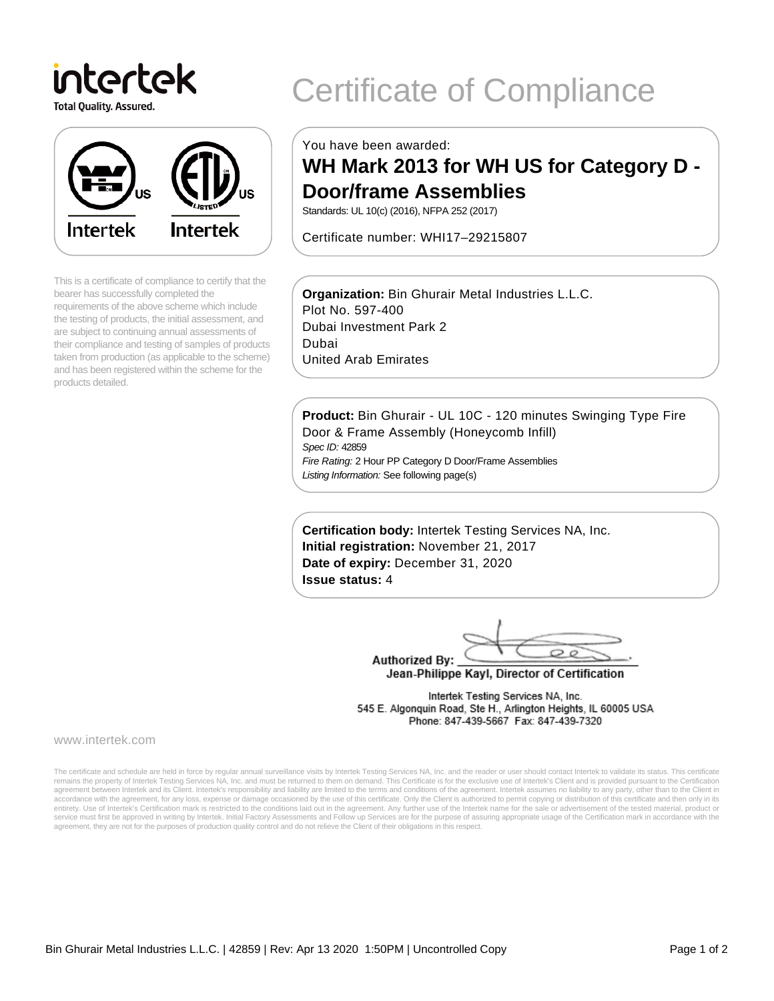intertek **Total Quality. Assured.** 



This is a certificate of compliance to certify that the bearer has successfully completed the requirements of the above scheme which include the testing of products, the initial assessment, and are subject to continuing annual assessments of their compliance and testing of samples of products taken from production (as applicable to the scheme) and has been registered within the scheme for the products detailed.

# Certificate of Compliance

You have been awarded:

# **WH Mark 2013 for WH US for Category D - Door/frame Assemblies**

Standards: UL 10(c) (2016), NFPA 252 (2017)

Certificate number: WHI17–29215807

**Organization:** Bin Ghurair Metal Industries L.L.C. Plot No. 597-400 Dubai Investment Park 2 Dubai United Arab Emirates

**Product:** Bin Ghurair - UL 10C - 120 minutes Swinging Type Fire Door & Frame Assembly (Honeycomb Infill) Spec ID: 42859 Fire Rating: 2 Hour PP Category D Door/Frame Assemblies

Listing Information: See following page(s)

**Certification body:** Intertek Testing Services NA, Inc. **Initial registration:** November 21, 2017 **Date of expiry:** December 31, 2020 **Issue status:** 4

 $\circ$ **Authorized By:** 

Jean-Philippe Kayl, Director of Certification

Intertek Testing Services NA, Inc. 545 E. Algonquin Road, Ste H., Arlington Heights, IL 60005 USA Phone: 847-439-5667 Fax: 847-439-7320

www.intertek.com

The certificate and schedule are held in force by regular annual surveillance visits by Intertek Testing Services NA, Inc. and the reader or user should contact Intertek to validate its status. This certificate remains the property of Intertek Testing Services NA, Inc. and must be returned to them on demand. This Certificate is for the exclusive use of Intertek's Client and is provided pursuant to the Certification agreement between Intertek and its Client. Intertek's responsibility and liability are limited to the terms and conditions of the agreement. Intertek assumes no liability to any party, other than to the Client in accordance with the agreement, for any loss, expense or damage occasioned by the use of this certificate. Only the Client is authorized to permit copying or distribution of this certificate and then only in its<br>entirety. U service must first be approved in writing by Intertek. Initial Factory Assessments and Follow up Services are for the purpose of assuring appropriate usage of the Certification mark in accordance with the agreement, they are not for the purposes of production quality control and do not relieve the Client of their obligations in this respect.